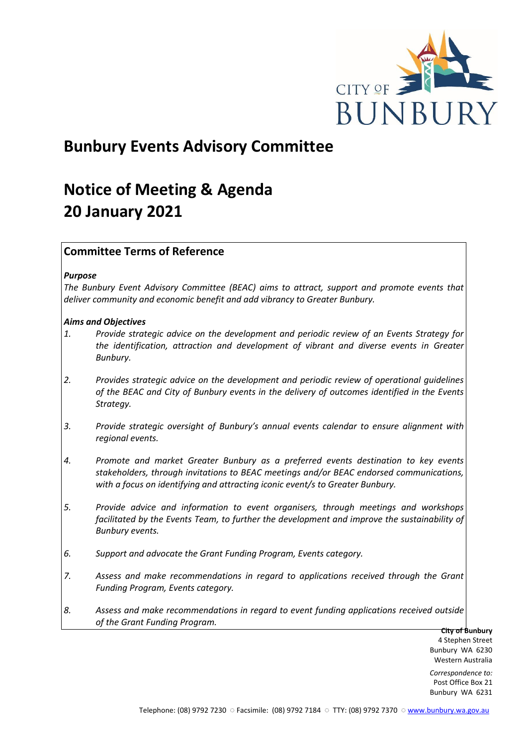

# **Bunbury Events Advisory Committee**

# **Notice of Meeting & Agenda 20 January 2021**

# **Committee Terms of Reference**

# *Purpose*

*The Bunbury Event Advisory Committee (BEAC) aims to attract, support and promote events that deliver community and economic benefit and add vibrancy to Greater Bunbury.*

# *Aims and Objectives*

- *1. Provide strategic advice on the development and periodic review of an Events Strategy for the identification, attraction and development of vibrant and diverse events in Greater Bunbury.*
- *2. Provides strategic advice on the development and periodic review of operational guidelines of the BEAC and City of Bunbury events in the delivery of outcomes identified in the Events Strategy.*
- *3. Provide strategic oversight of Bunbury's annual events calendar to ensure alignment with regional events.*
- *4. Promote and market Greater Bunbury as a preferred events destination to key events stakeholders, through invitations to BEAC meetings and/or BEAC endorsed communications, with a focus on identifying and attracting iconic event/s to Greater Bunbury.*
- *5. Provide advice and information to event organisers, through meetings and workshops*  facilitated by the Events Team, to further the development and improve the sustainability of *Bunbury events.*
- *6. Support and advocate the Grant Funding Program, Events category.*
- *7. Assess and make recommendations in regard to applications received through the Grant Funding Program, Events category.*
- *8. Assess and make recommendations in regard to event funding applications received outside of the Grant Funding Program.*

**City of Bunbury** 4 Stephen Street Bunbury WA 6230 Western Australia

*Correspondence to:* Post Office Box 21 Bunbury WA 6231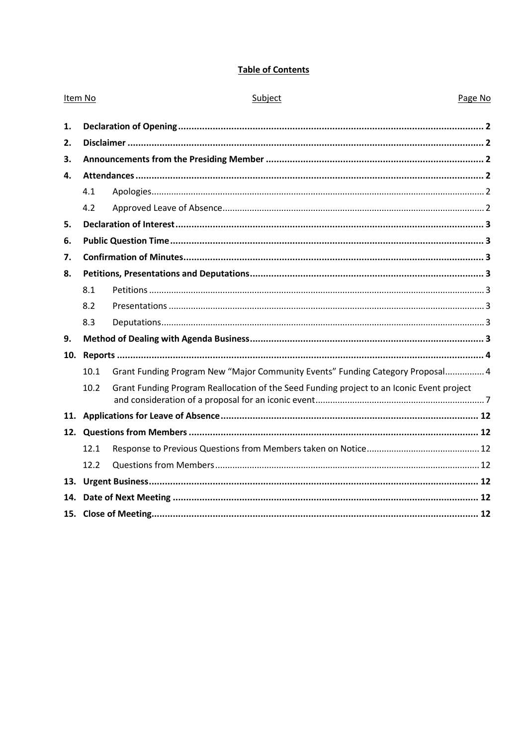# **Table of Contents**

| Item No |      | Subject                                                                                   | Page No |
|---------|------|-------------------------------------------------------------------------------------------|---------|
| 1.      |      |                                                                                           |         |
| 2.      |      |                                                                                           |         |
| 3.      |      |                                                                                           |         |
| 4.      |      |                                                                                           |         |
|         | 4.1  |                                                                                           |         |
|         | 4.2  |                                                                                           |         |
| 5.      |      |                                                                                           |         |
| 6.      |      |                                                                                           |         |
| 7.      |      |                                                                                           |         |
| 8.      |      |                                                                                           |         |
|         | 8.1  |                                                                                           |         |
|         | 8.2  |                                                                                           |         |
|         | 8.3  |                                                                                           |         |
| 9.      |      |                                                                                           |         |
| 10.     |      |                                                                                           |         |
|         | 10.1 | Grant Funding Program New "Major Community Events" Funding Category Proposal 4            |         |
|         | 10.2 | Grant Funding Program Reallocation of the Seed Funding project to an Iconic Event project |         |
|         |      |                                                                                           |         |
|         |      |                                                                                           |         |
|         | 12.1 |                                                                                           |         |
|         | 12.2 |                                                                                           |         |
|         |      |                                                                                           |         |
| 14.     |      |                                                                                           |         |
|         |      |                                                                                           |         |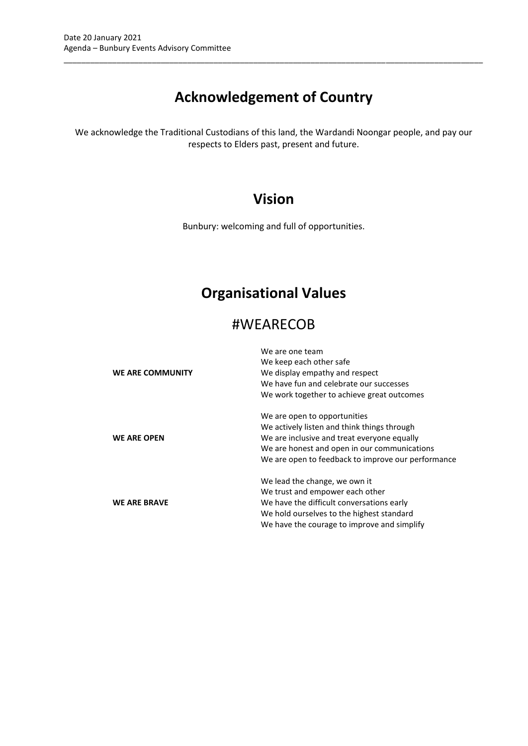# **Acknowledgement of Country**

\_\_\_\_\_\_\_\_\_\_\_\_\_\_\_\_\_\_\_\_\_\_\_\_\_\_\_\_\_\_\_\_\_\_\_\_\_\_\_\_\_\_\_\_\_\_\_\_\_\_\_\_\_\_\_\_\_\_\_\_\_\_\_\_\_\_\_\_\_\_\_\_\_\_\_\_\_\_\_\_\_\_\_\_\_\_\_\_\_\_\_\_\_\_\_

We acknowledge the Traditional Custodians of this land, the Wardandi Noongar people, and pay our respects to Elders past, present and future.

# **Vision**

Bunbury: welcoming and full of opportunities.

# **Organisational Values**

# #WEARECOB

| WE ARE COMMUNITY    | We are one team<br>We keep each other safe<br>We display empathy and respect<br>We have fun and celebrate our successes<br>We work together to achieve great outcomes                                                            |
|---------------------|----------------------------------------------------------------------------------------------------------------------------------------------------------------------------------------------------------------------------------|
| <b>WE ARE OPEN</b>  | We are open to opportunities<br>We actively listen and think things through<br>We are inclusive and treat everyone equally<br>We are honest and open in our communications<br>We are open to feedback to improve our performance |
| <b>WE ARE BRAVE</b> | We lead the change, we own it<br>We trust and empower each other<br>We have the difficult conversations early<br>We hold ourselves to the highest standard<br>We have the courage to improve and simplify                        |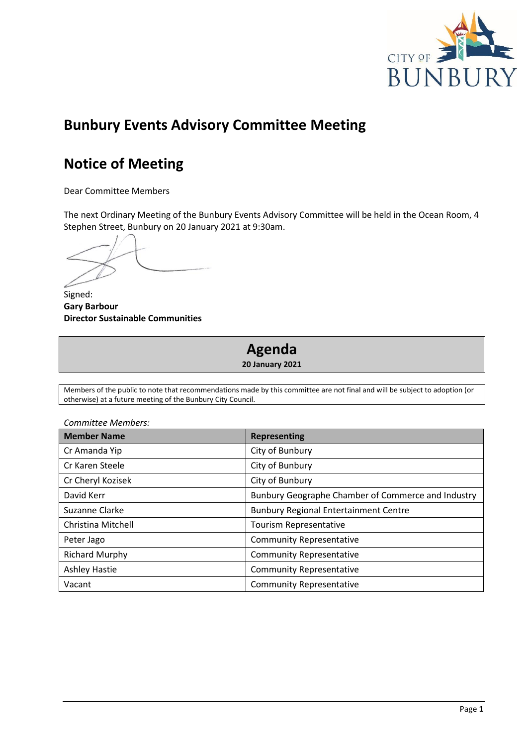

# **Bunbury Events Advisory Committee Meeting**

# **Notice of Meeting**

Dear Committee Members

The next Ordinary Meeting of the Bunbury Events Advisory Committee will be held in the Ocean Room, 4 Stephen Street, Bunbury on 20 January 2021 at 9:30am.

Signed: **Gary Barbour Director Sustainable Communities**

# **Agenda**

**20 January 2021**

Members of the public to note that recommendations made by this committee are not final and will be subject to adoption (or otherwise) at a future meeting of the Bunbury City Council.

| Committee Members:    |                                                    |  |
|-----------------------|----------------------------------------------------|--|
| <b>Member Name</b>    | <b>Representing</b>                                |  |
| Cr Amanda Yip         | City of Bunbury                                    |  |
| Cr Karen Steele       | City of Bunbury                                    |  |
| Cr Cheryl Kozisek     | City of Bunbury                                    |  |
| David Kerr            | Bunbury Geographe Chamber of Commerce and Industry |  |
| Suzanne Clarke        | <b>Bunbury Regional Entertainment Centre</b>       |  |
| Christina Mitchell    | Tourism Representative                             |  |
| Peter Jago            | <b>Community Representative</b>                    |  |
| <b>Richard Murphy</b> | <b>Community Representative</b>                    |  |
| <b>Ashley Hastie</b>  | <b>Community Representative</b>                    |  |
| Vacant                | <b>Community Representative</b>                    |  |

*Committee Members:*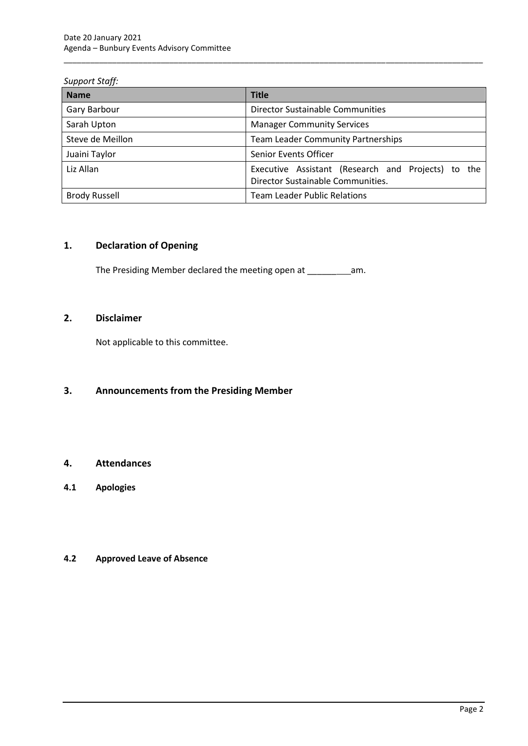# *Support Staff:*

| <b>Name</b>          | <b>Title</b>                                                                            |  |  |
|----------------------|-----------------------------------------------------------------------------------------|--|--|
| Gary Barbour         | Director Sustainable Communities                                                        |  |  |
| Sarah Upton          | <b>Manager Community Services</b>                                                       |  |  |
| Steve de Meillon     | <b>Team Leader Community Partnerships</b>                                               |  |  |
| Juaini Taylor        | Senior Events Officer                                                                   |  |  |
| Liz Allan            | Executive Assistant (Research and Projects) to the<br>Director Sustainable Communities. |  |  |
| <b>Brody Russell</b> | <b>Team Leader Public Relations</b>                                                     |  |  |

\_\_\_\_\_\_\_\_\_\_\_\_\_\_\_\_\_\_\_\_\_\_\_\_\_\_\_\_\_\_\_\_\_\_\_\_\_\_\_\_\_\_\_\_\_\_\_\_\_\_\_\_\_\_\_\_\_\_\_\_\_\_\_\_\_\_\_\_\_\_\_\_\_\_\_\_\_\_\_\_\_\_\_\_\_\_\_\_\_\_\_\_\_\_\_

# <span id="page-4-0"></span>**1. Declaration of Opening**

The Presiding Member declared the meeting open at \_\_\_\_\_\_\_\_\_\_\_\_\_\_\_\_\_\_\_\_\_\_\_\_\_\_\_\_\_\_\_

# <span id="page-4-1"></span>**2. Disclaimer**

Not applicable to this committee.

# <span id="page-4-2"></span>**3. Announcements from the Presiding Member**

# <span id="page-4-3"></span>**4. Attendances**

<span id="page-4-4"></span>**4.1 Apologies**

# <span id="page-4-5"></span>**4.2 Approved Leave of Absence**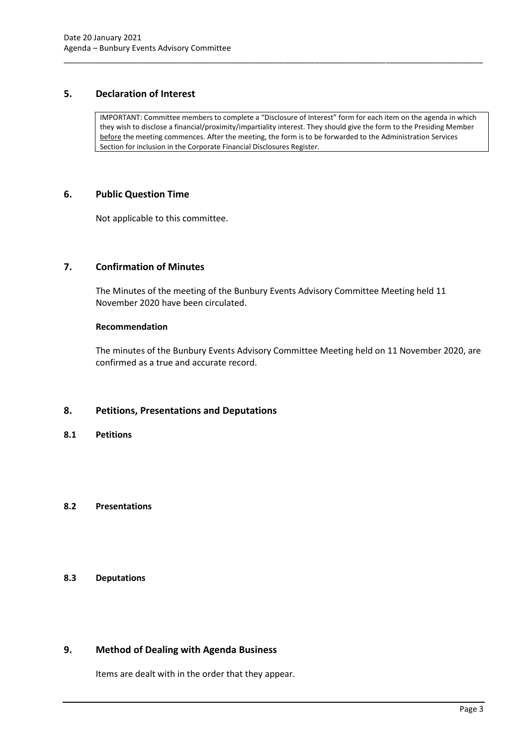# <span id="page-5-0"></span>**5. Declaration of Interest**

IMPORTANT: Committee members to complete a "Disclosure of Interest" form for each item on the agenda in which they wish to disclose a financial/proximity/impartiality interest. They should give the form to the Presiding Member before the meeting commences. After the meeting, the form is to be forwarded to the Administration Services Section for inclusion in the Corporate Financial Disclosures Register.

\_\_\_\_\_\_\_\_\_\_\_\_\_\_\_\_\_\_\_\_\_\_\_\_\_\_\_\_\_\_\_\_\_\_\_\_\_\_\_\_\_\_\_\_\_\_\_\_\_\_\_\_\_\_\_\_\_\_\_\_\_\_\_\_\_\_\_\_\_\_\_\_\_\_\_\_\_\_\_\_\_\_\_\_\_\_\_\_\_\_\_\_\_\_\_

# <span id="page-5-1"></span>**6. Public Question Time**

Not applicable to this committee.

# <span id="page-5-2"></span>**7. Confirmation of Minutes**

The Minutes of the meeting of the Bunbury Events Advisory Committee Meeting held 11 November 2020 have been circulated.

#### **Recommendation**

The minutes of the Bunbury Events Advisory Committee Meeting held on 11 November 2020, are confirmed as a true and accurate record.

# <span id="page-5-3"></span>**8. Petitions, Presentations and Deputations**

<span id="page-5-4"></span>**8.1 Petitions**

# <span id="page-5-5"></span>**8.2 Presentations**

# <span id="page-5-6"></span>**8.3 Deputations**

# <span id="page-5-7"></span>**9. Method of Dealing with Agenda Business**

Items are dealt with in the order that they appear.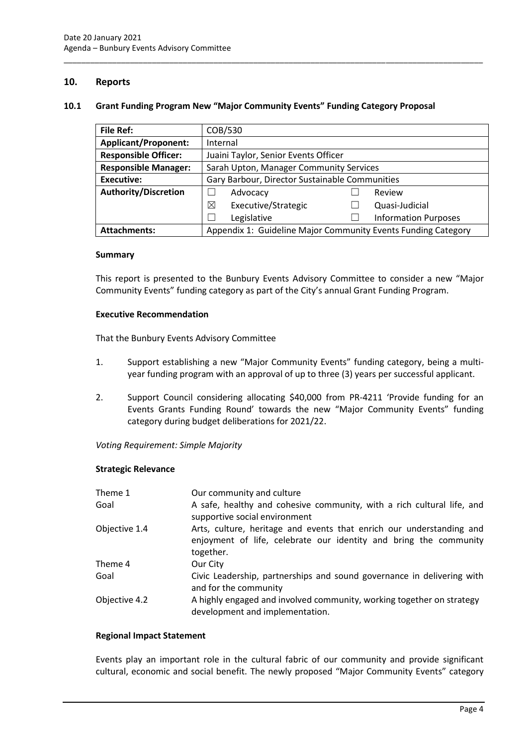# <span id="page-6-0"></span>**10. Reports**

#### <span id="page-6-1"></span>**10.1 Grant Funding Program New "Major Community Events" Funding Category Proposal**

\_\_\_\_\_\_\_\_\_\_\_\_\_\_\_\_\_\_\_\_\_\_\_\_\_\_\_\_\_\_\_\_\_\_\_\_\_\_\_\_\_\_\_\_\_\_\_\_\_\_\_\_\_\_\_\_\_\_\_\_\_\_\_\_\_\_\_\_\_\_\_\_\_\_\_\_\_\_\_\_\_\_\_\_\_\_\_\_\_\_\_\_\_\_\_

| <b>File Ref:</b>            | COB/530                                                       |  |                             |
|-----------------------------|---------------------------------------------------------------|--|-----------------------------|
| <b>Applicant/Proponent:</b> | Internal                                                      |  |                             |
| <b>Responsible Officer:</b> | Juaini Taylor, Senior Events Officer                          |  |                             |
| <b>Responsible Manager:</b> | Sarah Upton, Manager Community Services                       |  |                             |
| <b>Executive:</b>           | Gary Barbour, Director Sustainable Communities                |  |                             |
| <b>Authority/Discretion</b> | Advocacy                                                      |  | Review                      |
|                             | ⊠<br>Executive/Strategic                                      |  | Quasi-Judicial              |
|                             | Legislative                                                   |  | <b>Information Purposes</b> |
| <b>Attachments:</b>         | Appendix 1: Guideline Major Community Events Funding Category |  |                             |

#### **Summary**

This report is presented to the Bunbury Events Advisory Committee to consider a new "Major Community Events" funding category as part of the City's annual Grant Funding Program.

#### **Executive Recommendation**

That the Bunbury Events Advisory Committee

- 1. Support establishing a new "Major Community Events" funding category, being a multiyear funding program with an approval of up to three (3) years per successful applicant.
- 2. Support Council considering allocating \$40,000 from PR-4211 'Provide funding for an Events Grants Funding Round' towards the new "Major Community Events" funding category during budget deliberations for 2021/22.

*Voting Requirement: Simple Majority* 

#### **Strategic Relevance**

| Theme 1       | Our community and culture                                                                                                                              |
|---------------|--------------------------------------------------------------------------------------------------------------------------------------------------------|
| Goal          | A safe, healthy and cohesive community, with a rich cultural life, and<br>supportive social environment                                                |
| Objective 1.4 | Arts, culture, heritage and events that enrich our understanding and<br>enjoyment of life, celebrate our identity and bring the community<br>together. |
| Theme 4       | Our City                                                                                                                                               |
| Goal          | Civic Leadership, partnerships and sound governance in delivering with<br>and for the community                                                        |
| Objective 4.2 | A highly engaged and involved community, working together on strategy<br>development and implementation.                                               |

#### **Regional Impact Statement**

Events play an important role in the cultural fabric of our community and provide significant cultural, economic and social benefit. The newly proposed "Major Community Events" category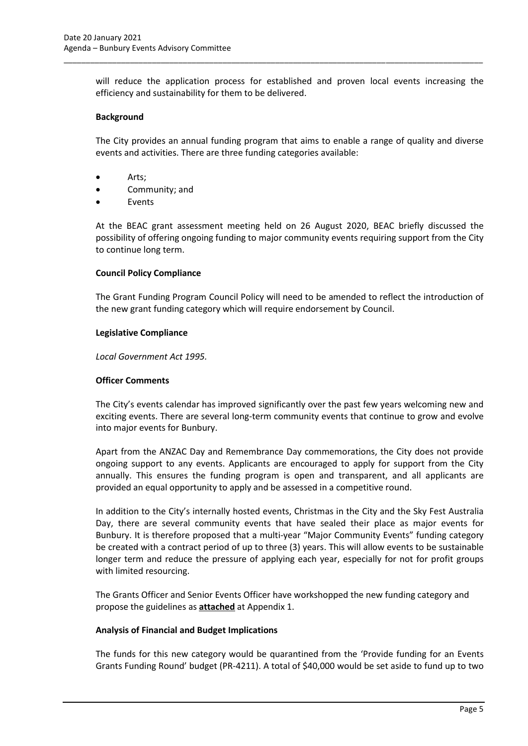will reduce the application process for established and proven local events increasing the efficiency and sustainability for them to be delivered.

\_\_\_\_\_\_\_\_\_\_\_\_\_\_\_\_\_\_\_\_\_\_\_\_\_\_\_\_\_\_\_\_\_\_\_\_\_\_\_\_\_\_\_\_\_\_\_\_\_\_\_\_\_\_\_\_\_\_\_\_\_\_\_\_\_\_\_\_\_\_\_\_\_\_\_\_\_\_\_\_\_\_\_\_\_\_\_\_\_\_\_\_\_\_\_

#### **Background**

The City provides an annual funding program that aims to enable a range of quality and diverse events and activities. There are three funding categories available:

- Arts;
- Community; and
- **Events**

At the BEAC grant assessment meeting held on 26 August 2020, BEAC briefly discussed the possibility of offering ongoing funding to major community events requiring support from the City to continue long term.

#### **Council Policy Compliance**

The Grant Funding Program Council Policy will need to be amended to reflect the introduction of the new grant funding category which will require endorsement by Council.

#### **Legislative Compliance**

*Local Government Act 1995.*

#### **Officer Comments**

The City's events calendar has improved significantly over the past few years welcoming new and exciting events. There are several long-term community events that continue to grow and evolve into major events for Bunbury.

Apart from the ANZAC Day and Remembrance Day commemorations, the City does not provide ongoing support to any events. Applicants are encouraged to apply for support from the City annually. This ensures the funding program is open and transparent, and all applicants are provided an equal opportunity to apply and be assessed in a competitive round.

In addition to the City's internally hosted events, Christmas in the City and the Sky Fest Australia Day, there are several community events that have sealed their place as major events for Bunbury. It is therefore proposed that a multi-year "Major Community Events" funding category be created with a contract period of up to three (3) years. This will allow events to be sustainable longer term and reduce the pressure of applying each year, especially for not for profit groups with limited resourcing.

The Grants Officer and Senior Events Officer have workshopped the new funding category and propose the guidelines as **attached** at Appendix 1.

#### **Analysis of Financial and Budget Implications**

The funds for this new category would be quarantined from the 'Provide funding for an Events Grants Funding Round' budget (PR-4211). A total of \$40,000 would be set aside to fund up to two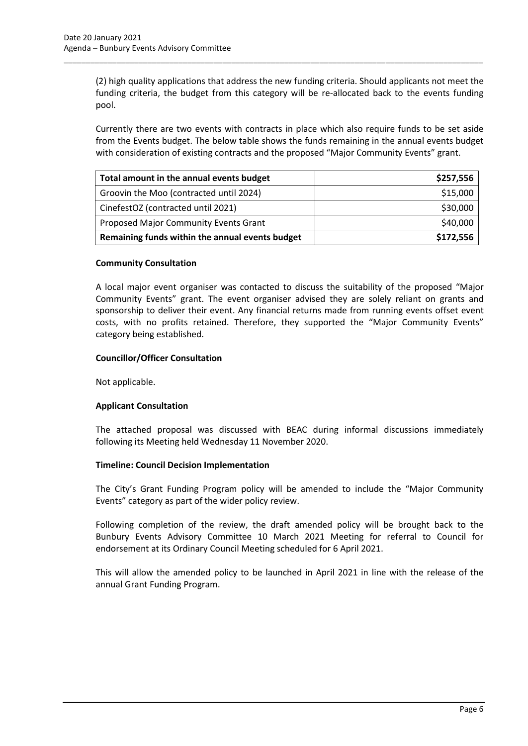(2) high quality applications that address the new funding criteria. Should applicants not meet the funding criteria, the budget from this category will be re-allocated back to the events funding pool.

\_\_\_\_\_\_\_\_\_\_\_\_\_\_\_\_\_\_\_\_\_\_\_\_\_\_\_\_\_\_\_\_\_\_\_\_\_\_\_\_\_\_\_\_\_\_\_\_\_\_\_\_\_\_\_\_\_\_\_\_\_\_\_\_\_\_\_\_\_\_\_\_\_\_\_\_\_\_\_\_\_\_\_\_\_\_\_\_\_\_\_\_\_\_\_

Currently there are two events with contracts in place which also require funds to be set aside from the Events budget. The below table shows the funds remaining in the annual events budget with consideration of existing contracts and the proposed "Major Community Events" grant.

| Total amount in the annual events budget        | \$257,556 |
|-------------------------------------------------|-----------|
| Groovin the Moo (contracted until 2024)         | \$15,000  |
| CinefestOZ (contracted until 2021)              | \$30,000  |
| Proposed Major Community Events Grant           | \$40,000  |
| Remaining funds within the annual events budget | \$172,556 |

# **Community Consultation**

A local major event organiser was contacted to discuss the suitability of the proposed "Major Community Events" grant. The event organiser advised they are solely reliant on grants and sponsorship to deliver their event. Any financial returns made from running events offset event costs, with no profits retained. Therefore, they supported the "Major Community Events" category being established.

# **Councillor/Officer Consultation**

Not applicable.

#### **Applicant Consultation**

The attached proposal was discussed with BEAC during informal discussions immediately following its Meeting held Wednesday 11 November 2020.

#### **Timeline: Council Decision Implementation**

The City's Grant Funding Program policy will be amended to include the "Major Community Events" category as part of the wider policy review.

Following completion of the review, the draft amended policy will be brought back to the Bunbury Events Advisory Committee 10 March 2021 Meeting for referral to Council for endorsement at its Ordinary Council Meeting scheduled for 6 April 2021.

This will allow the amended policy to be launched in April 2021 in line with the release of the annual Grant Funding Program.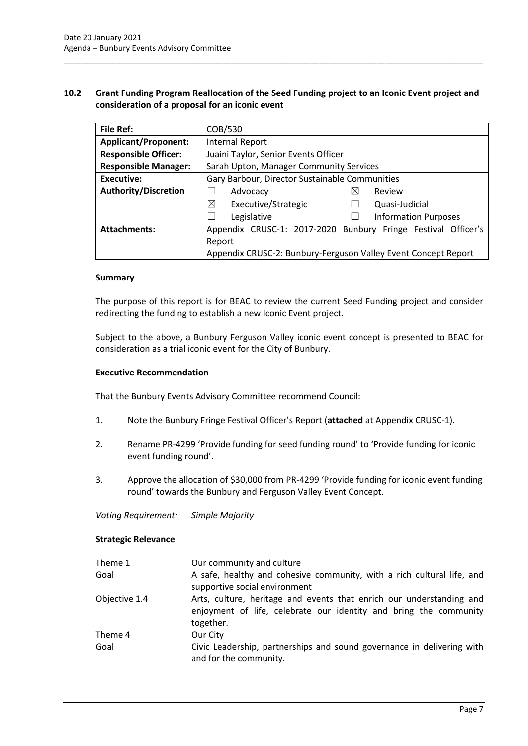# <span id="page-9-0"></span>**10.2 Grant Funding Program Reallocation of the Seed Funding project to an Iconic Event project and consideration of a proposal for an iconic event**

\_\_\_\_\_\_\_\_\_\_\_\_\_\_\_\_\_\_\_\_\_\_\_\_\_\_\_\_\_\_\_\_\_\_\_\_\_\_\_\_\_\_\_\_\_\_\_\_\_\_\_\_\_\_\_\_\_\_\_\_\_\_\_\_\_\_\_\_\_\_\_\_\_\_\_\_\_\_\_\_\_\_\_\_\_\_\_\_\_\_\_\_\_\_\_

| <b>File Ref:</b>            | COB/530                                                        |                                                               |
|-----------------------------|----------------------------------------------------------------|---------------------------------------------------------------|
| <b>Applicant/Proponent:</b> | Internal Report                                                |                                                               |
| <b>Responsible Officer:</b> | Juaini Taylor, Senior Events Officer                           |                                                               |
| <b>Responsible Manager:</b> | Sarah Upton, Manager Community Services                        |                                                               |
| Executive:                  | Gary Barbour, Director Sustainable Communities                 |                                                               |
| <b>Authority/Discretion</b> | Advocacy                                                       | $\boxtimes$<br>Review                                         |
|                             | ⊠<br>Executive/Strategic                                       | Quasi-Judicial                                                |
|                             | Legislative                                                    | <b>Information Purposes</b>                                   |
| <b>Attachments:</b>         |                                                                | Appendix CRUSC-1: 2017-2020 Bunbury Fringe Festival Officer's |
|                             | Report                                                         |                                                               |
|                             | Appendix CRUSC-2: Bunbury-Ferguson Valley Event Concept Report |                                                               |

#### **Summary**

The purpose of this report is for BEAC to review the current Seed Funding project and consider redirecting the funding to establish a new Iconic Event project.

Subject to the above, a Bunbury Ferguson Valley iconic event concept is presented to BEAC for consideration as a trial iconic event for the City of Bunbury.

#### **Executive Recommendation**

That the Bunbury Events Advisory Committee recommend Council:

- 1. Note the Bunbury Fringe Festival Officer's Report (**attached** at Appendix CRUSC-1).
- 2. Rename PR-4299 'Provide funding for seed funding round' to 'Provide funding for iconic event funding round'.
- 3. Approve the allocation of \$30,000 from PR-4299 'Provide funding for iconic event funding round' towards the Bunbury and Ferguson Valley Event Concept.

*Voting Requirement: Simple Majority*

#### **Strategic Relevance**

| Theme 1       | Our community and culture                                                                                                                              |
|---------------|--------------------------------------------------------------------------------------------------------------------------------------------------------|
| Goal          | A safe, healthy and cohesive community, with a rich cultural life, and<br>supportive social environment                                                |
| Objective 1.4 | Arts, culture, heritage and events that enrich our understanding and<br>enjoyment of life, celebrate our identity and bring the community<br>together. |
| Theme 4       | Our City                                                                                                                                               |
| Goal          | Civic Leadership, partnerships and sound governance in delivering with<br>and for the community.                                                       |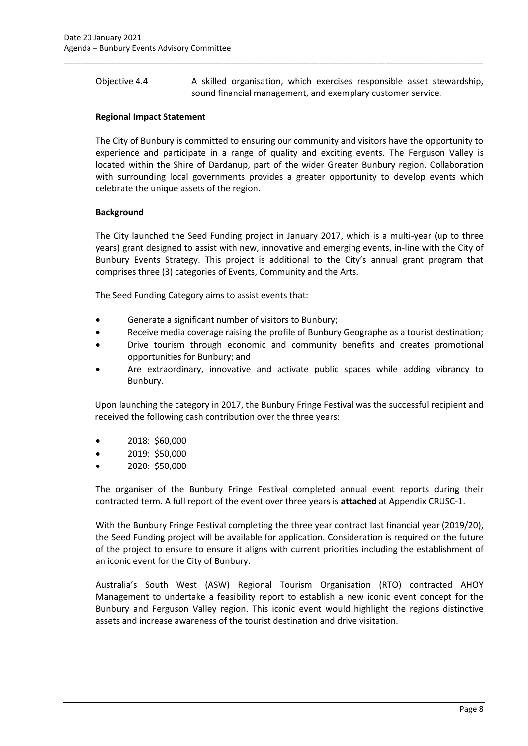Objective 4.4 A skilled organisation, which exercises responsible asset stewardship, sound financial management, and exemplary customer service.

\_\_\_\_\_\_\_\_\_\_\_\_\_\_\_\_\_\_\_\_\_\_\_\_\_\_\_\_\_\_\_\_\_\_\_\_\_\_\_\_\_\_\_\_\_\_\_\_\_\_\_\_\_\_\_\_\_\_\_\_\_\_\_\_\_\_\_\_\_\_\_\_\_\_\_\_\_\_\_\_\_\_\_\_\_\_\_\_\_\_\_\_\_\_\_

#### **Regional Impact Statement**

The City of Bunbury is committed to ensuring our community and visitors have the opportunity to experience and participate in a range of quality and exciting events. The Ferguson Valley is located within the Shire of Dardanup, part of the wider Greater Bunbury region. Collaboration with surrounding local governments provides a greater opportunity to develop events which celebrate the unique assets of the region.

# **Background**

The City launched the Seed Funding project in January 2017, which is a multi-year (up to three years) grant designed to assist with new, innovative and emerging events, in-line with the City of Bunbury Events Strategy. This project is additional to the City's annual grant program that comprises three (3) categories of Events, Community and the Arts.

The Seed Funding Category aims to assist events that:

- Generate a significant number of visitors to Bunbury;
- Receive media coverage raising the profile of Bunbury Geographe as a tourist destination;
- Drive tourism through economic and community benefits and creates promotional opportunities for Bunbury; and
- Are extraordinary, innovative and activate public spaces while adding vibrancy to Bunbury.

Upon launching the category in 2017, the Bunbury Fringe Festival was the successful recipient and received the following cash contribution over the three years:

- 2018: \$60,000
- 2019: \$50,000
- 2020: \$50,000

The organiser of the Bunbury Fringe Festival completed annual event reports during their contracted term. A full report of the event over three years is **attached** at Appendix CRUSC-1.

With the Bunbury Fringe Festival completing the three year contract last financial year (2019/20), the Seed Funding project will be available for application. Consideration is required on the future of the project to ensure to ensure it aligns with current priorities including the establishment of an iconic event for the City of Bunbury.

Australia's South West (ASW) Regional Tourism Organisation (RTO) contracted AHOY Management to undertake a feasibility report to establish a new iconic event concept for the Bunbury and Ferguson Valley region. This iconic event would highlight the regions distinctive assets and increase awareness of the tourist destination and drive visitation.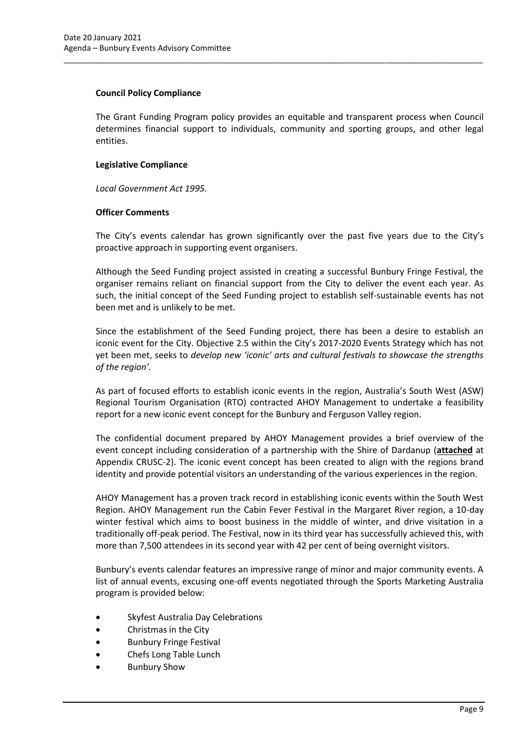#### **Council Policy Compliance**

The Grant Funding Program policy provides an equitable and transparent process when Council determines financial support to individuals, community and sporting groups, and other legal entities.

\_\_\_\_\_\_\_\_\_\_\_\_\_\_\_\_\_\_\_\_\_\_\_\_\_\_\_\_\_\_\_\_\_\_\_\_\_\_\_\_\_\_\_\_\_\_\_\_\_\_\_\_\_\_\_\_\_\_\_\_\_\_\_\_\_\_\_\_\_\_\_\_\_\_\_\_\_\_\_\_\_\_\_\_\_\_\_\_\_\_\_\_\_\_\_

# **Legislative Compliance**

*Local Government Act 1995.*

# **Officer Comments**

The City's events calendar has grown significantly over the past five years due to the City's proactive approach in supporting event organisers.

Although the Seed Funding project assisted in creating a successful Bunbury Fringe Festival, the organiser remains reliant on financial support from the City to deliver the event each year. As such, the initial concept of the Seed Funding project to establish self-sustainable events has not been met and is unlikely to be met.

Since the establishment of the Seed Funding project, there has been a desire to establish an iconic event for the City. Objective 2.5 within the City's 2017-2020 Events Strategy which has not yet been met, seeks to *develop new 'iconic' arts and cultural festivals to showcase the strengths of the region'.*

As part of focused efforts to establish iconic events in the region, Australia's South West (ASW) Regional Tourism Organisation (RTO) contracted AHOY Management to undertake a feasibility report for a new iconic event concept for the Bunbury and Ferguson Valley region.

The confidential document prepared by AHOY Management provides a brief overview of the event concept including consideration of a partnership with the Shire of Dardanup (**attached** at Appendix CRUSC-2). The iconic event concept has been created to align with the regions brand identity and provide potential visitors an understanding of the various experiences in the region.

AHOY Management has a proven track record in establishing iconic events within the South West Region. AHOY Management run the Cabin Fever Festival in the Margaret River region, a 10-day winter festival which aims to boost business in the middle of winter, and drive visitation in a traditionally off-peak period. The Festival, now in its third year has successfully achieved this, with more than 7,500 attendees in its second year with 42 per cent of being overnight visitors.

Bunbury's events calendar features an impressive range of minor and major community events. A list of annual events, excusing one-off events negotiated through the Sports Marketing Australia program is provided below:

- Skyfest Australia Day Celebrations
- Christmas in the City
- Bunbury Fringe Festival
- Chefs Long Table Lunch
- Bunbury Show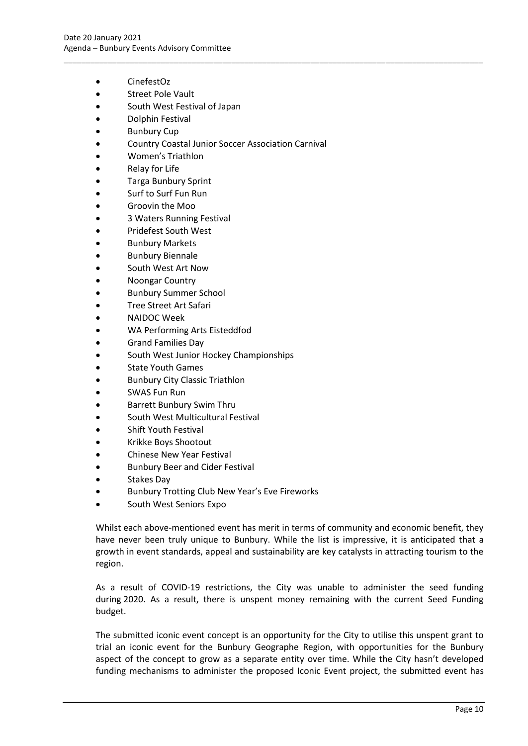- CinefestOz
- Street Pole Vault
- South West Festival of Japan
- Dolphin Festival
- **Bunbury Cup**
- Country Coastal Junior Soccer Association Carnival

\_\_\_\_\_\_\_\_\_\_\_\_\_\_\_\_\_\_\_\_\_\_\_\_\_\_\_\_\_\_\_\_\_\_\_\_\_\_\_\_\_\_\_\_\_\_\_\_\_\_\_\_\_\_\_\_\_\_\_\_\_\_\_\_\_\_\_\_\_\_\_\_\_\_\_\_\_\_\_\_\_\_\_\_\_\_\_\_\_\_\_\_\_\_\_

- Women's Triathlon
- **Relay for Life**
- Targa Bunbury Sprint
- Surf to Surf Fun Run
- Groovin the Moo
- 3 Waters Running Festival
- Pridefest South West
- Bunbury Markets
- **Bunbury Biennale**
- South West Art Now
- Noongar Country
- Bunbury Summer School
- Tree Street Art Safari
- NAIDOC Week
- WA Performing Arts Eisteddfod
- Grand Families Day
- South West Junior Hockey Championships
- State Youth Games
- Bunbury City Classic Triathlon
- SWAS Fun Run
- Barrett Bunbury Swim Thru
- South West Multicultural Festival
- Shift Youth Festival
- Krikke Boys Shootout
- Chinese New Year Festival
- Bunbury Beer and Cider Festival
- Stakes Day
- Bunbury Trotting Club New Year's Eve Fireworks
- South West Seniors Expo

Whilst each above-mentioned event has merit in terms of community and economic benefit, they have never been truly unique to Bunbury. While the list is impressive, it is anticipated that a growth in event standards, appeal and sustainability are key catalysts in attracting tourism to the region.

As a result of COVID-19 restrictions, the City was unable to administer the seed funding during 2020. As a result, there is unspent money remaining with the current Seed Funding budget.

The submitted iconic event concept is an opportunity for the City to utilise this unspent grant to trial an iconic event for the Bunbury Geographe Region, with opportunities for the Bunbury aspect of the concept to grow as a separate entity over time. While the City hasn't developed funding mechanisms to administer the proposed Iconic Event project, the submitted event has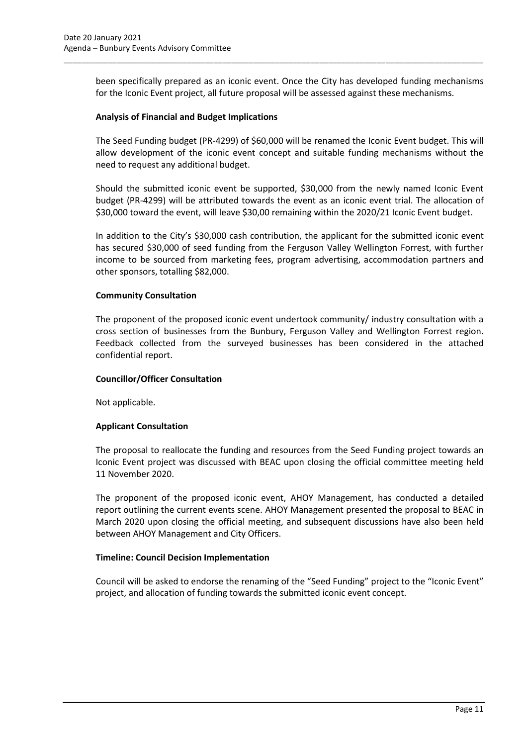been specifically prepared as an iconic event. Once the City has developed funding mechanisms for the Iconic Event project, all future proposal will be assessed against these mechanisms.

\_\_\_\_\_\_\_\_\_\_\_\_\_\_\_\_\_\_\_\_\_\_\_\_\_\_\_\_\_\_\_\_\_\_\_\_\_\_\_\_\_\_\_\_\_\_\_\_\_\_\_\_\_\_\_\_\_\_\_\_\_\_\_\_\_\_\_\_\_\_\_\_\_\_\_\_\_\_\_\_\_\_\_\_\_\_\_\_\_\_\_\_\_\_\_

#### **Analysis of Financial and Budget Implications**

The Seed Funding budget (PR-4299) of \$60,000 will be renamed the Iconic Event budget. This will allow development of the iconic event concept and suitable funding mechanisms without the need to request any additional budget.

Should the submitted iconic event be supported, \$30,000 from the newly named Iconic Event budget (PR-4299) will be attributed towards the event as an iconic event trial. The allocation of \$30,000 toward the event, will leave \$30,00 remaining within the 2020/21 Iconic Event budget.

In addition to the City's \$30,000 cash contribution, the applicant for the submitted iconic event has secured \$30,000 of seed funding from the Ferguson Valley Wellington Forrest, with further income to be sourced from marketing fees, program advertising, accommodation partners and other sponsors, totalling \$82,000.

# **Community Consultation**

The proponent of the proposed iconic event undertook community/ industry consultation with a cross section of businesses from the Bunbury, Ferguson Valley and Wellington Forrest region. Feedback collected from the surveyed businesses has been considered in the attached confidential report.

#### **Councillor/Officer Consultation**

Not applicable.

# **Applicant Consultation**

The proposal to reallocate the funding and resources from the Seed Funding project towards an Iconic Event project was discussed with BEAC upon closing the official committee meeting held 11 November 2020.

The proponent of the proposed iconic event, AHOY Management, has conducted a detailed report outlining the current events scene. AHOY Management presented the proposal to BEAC in March 2020 upon closing the official meeting, and subsequent discussions have also been held between AHOY Management and City Officers.

#### **Timeline: Council Decision Implementation**

Council will be asked to endorse the renaming of the "Seed Funding" project to the "Iconic Event" project, and allocation of funding towards the submitted iconic event concept.